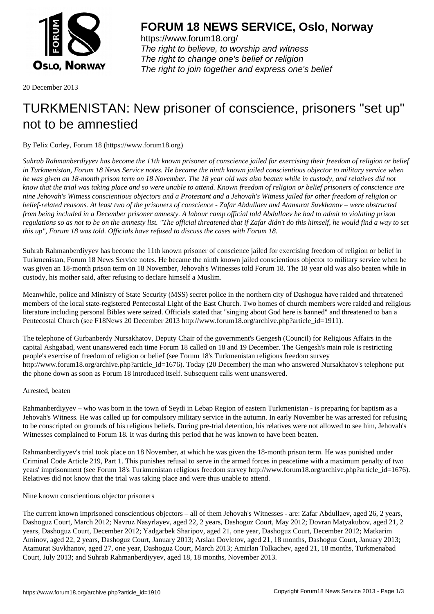

https://www.forum18.org/ The right to believe, to worship and witness The right to change one's belief or religion [The right to join together a](https://www.forum18.org/)nd express one's belief

20 December 2013

## [TURKMENISTA](https://www.forum18.org)N: New prisoner of conscience, prisoners "set up" not to be amnestied

## By Felix Corley, Forum 18 (https://www.forum18.org)

*Suhrab Rahmanberdiyyev has become the 11th known prisoner of conscience jailed for exercising their freedom of religion or belief in Turkmenistan, Forum 18 News Service notes. He became the ninth known jailed conscientious objector to military service when he was given an 18-month prison term on 18 November. The 18 year old was also beaten while in custody, and relatives did not know that the trial was taking place and so were unable to attend. Known freedom of religion or belief prisoners of conscience are nine Jehovah's Witness conscientious objectors and a Protestant and a Jehovah's Witness jailed for other freedom of religion or belief-related reasons. At least two of the prisoners of conscience - Zafar Abdullaev and Atamurat Suvkhanov – were obstructed from being included in a December prisoner amnesty. A labour camp official told Abdullaev he had to admit to violating prison regulations so as not to be on the amnesty list. "The official threatened that if Zafar didn't do this himself, he would find a way to set this up", Forum 18 was told. Officials have refused to discuss the cases with Forum 18.*

Suhrab Rahmanberdiyyev has become the 11th known prisoner of conscience jailed for exercising freedom of religion or belief in Turkmenistan, Forum 18 News Service notes. He became the ninth known jailed conscientious objector to military service when he was given an 18-month prison term on 18 November, Jehovah's Witnesses told Forum 18. The 18 year old was also beaten while in custody, his mother said, after refusing to declare himself a Muslim.

Meanwhile, police and Ministry of State Security (MSS) secret police in the northern city of Dashoguz have raided and threatened members of the local state-registered Pentecostal Light of the East Church. Two homes of church members were raided and religious literature including personal Bibles were seized. Officials stated that "singing about God here is banned" and threatened to ban a Pentecostal Church (see F18News 20 December 2013 http://www.forum18.org/archive.php?article\_id=1911).

The telephone of Gurbanberdy Nursakhatov, Deputy Chair of the government's Gengesh (Council) for Religious Affairs in the capital Ashgabad, went unanswered each time Forum 18 called on 18 and 19 December. The Gengesh's main role is restricting people's exercise of freedom of religion or belief (see Forum 18's Turkmenistan religious freedom survey http://www.forum18.org/archive.php?article\_id=1676). Today (20 December) the man who answered Nursakhatov's telephone put the phone down as soon as Forum 18 introduced itself. Subsequent calls went unanswered.

## Arrested, beaten

Rahmanberdiyyev – who was born in the town of Seydi in Lebap Region of eastern Turkmenistan - is preparing for baptism as a Jehovah's Witness. He was called up for compulsory military service in the autumn. In early November he was arrested for refusing to be conscripted on grounds of his religious beliefs. During pre-trial detention, his relatives were not allowed to see him, Jehovah's Witnesses complained to Forum 18. It was during this period that he was known to have been beaten.

Rahmanberdiyyev's trial took place on 18 November, at which he was given the 18-month prison term. He was punished under Criminal Code Article 219, Part 1. This punishes refusal to serve in the armed forces in peacetime with a maximum penalty of two years' imprisonment (see Forum 18's Turkmenistan religious freedom survey http://www.forum18.org/archive.php?article\_id=1676). Relatives did not know that the trial was taking place and were thus unable to attend.

## Nine known conscientious objector prisoners

The current known imprisoned conscientious objectors – all of them Jehovah's Witnesses - are: Zafar Abdullaev, aged 26, 2 years, Dashoguz Court, March 2012; Navruz Nasyrlayev, aged 22, 2 years, Dashoguz Court, May 2012; Dovran Matyakubov, aged 21, 2 years, Dashoguz Court, December 2012; Yadgarbek Sharipov, aged 21, one year, Dashoguz Court, December 2012; Matkarim Aminov, aged 22, 2 years, Dashoguz Court, January 2013; Arslan Dovletov, aged 21, 18 months, Dashoguz Court, January 2013; Atamurat Suvkhanov, aged 27, one year, Dashoguz Court, March 2013; Amirlan Tolkachev, aged 21, 18 months, Turkmenabad Court, July 2013; and Suhrab Rahmanberdiyyev, aged 18, 18 months, November 2013.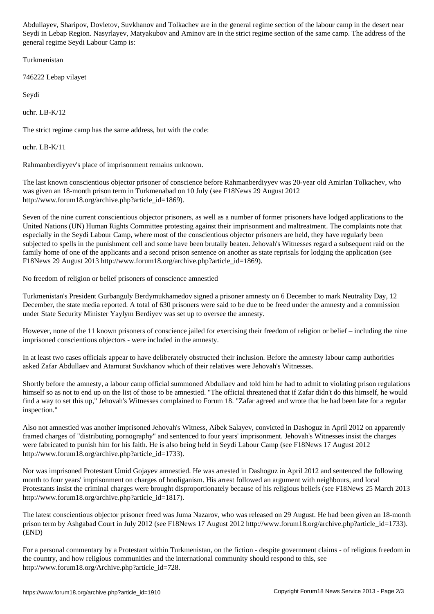Seydi in Lebap Region. Nasyrlayev, Matyakubov and Aminov are in the strict regime section of the same camp. The address of the general regime Seydi Labour Camp is:

Turkmenistan

746222 Lebap vilayet

Seydi

uchr. LB-K/12

The strict regime camp has the same address, but with the code:

uchr. LB-K/11

Rahmanberdiyyev's place of imprisonment remains unknown.

The last known conscientious objector prisoner of conscience before Rahmanberdiyyev was 20-year old Amirlan Tolkachev, who was given an 18-month prison term in Turkmenabad on 10 July (see F18News 29 August 2012 http://www.forum18.org/archive.php?article\_id=1869).

Seven of the nine current conscientious objector prisoners, as well as a number of former prisoners have lodged applications to the United Nations (UN) Human Rights Committee protesting against their imprisonment and maltreatment. The complaints note that especially in the Seydi Labour Camp, where most of the conscientious objector prisoners are held, they have regularly been subjected to spells in the punishment cell and some have been brutally beaten. Jehovah's Witnesses regard a subsequent raid on the family home of one of the applicants and a second prison sentence on another as state reprisals for lodging the application (see F18News 29 August 2013 http://www.forum18.org/archive.php?article\_id=1869).

No freedom of religion or belief prisoners of conscience amnestied

Turkmenistan's President Gurbanguly Berdymukhamedov signed a prisoner amnesty on 6 December to mark Neutrality Day, 12 December, the state media reported. A total of 630 prisoners were said to be due to be freed under the amnesty and a commission under State Security Minister Yaylym Berdiyev was set up to oversee the amnesty.

However, none of the 11 known prisoners of conscience jailed for exercising their freedom of religion or belief – including the nine imprisoned conscientious objectors - were included in the amnesty.

In at least two cases officials appear to have deliberately obstructed their inclusion. Before the amnesty labour camp authorities asked Zafar Abdullaev and Atamurat Suvkhanov which of their relatives were Jehovah's Witnesses.

Shortly before the amnesty, a labour camp official summoned Abdullaev and told him he had to admit to violating prison regulations himself so as not to end up on the list of those to be amnestied. "The official threatened that if Zafar didn't do this himself, he would find a way to set this up," Jehovah's Witnesses complained to Forum 18. "Zafar agreed and wrote that he had been late for a regular inspection."

Also not amnestied was another imprisoned Jehovah's Witness, Aibek Salayev, convicted in Dashoguz in April 2012 on apparently framed charges of "distributing pornography" and sentenced to four years' imprisonment. Jehovah's Witnesses insist the charges were fabricated to punish him for his faith. He is also being held in Seydi Labour Camp (see F18News 17 August 2012 http://www.forum18.org/archive.php?article\_id=1733).

Nor was imprisoned Protestant Umid Gojayev amnestied. He was arrested in Dashoguz in April 2012 and sentenced the following month to four years' imprisonment on charges of hooliganism. His arrest followed an argument with neighbours, and local Protestants insist the criminal charges were brought disproportionately because of his religious beliefs (see F18News 25 March 2013 http://www.forum18.org/archive.php?article\_id=1817).

The latest conscientious objector prisoner freed was Juma Nazarov, who was released on 29 August. He had been given an 18-month prison term by Ashgabad Court in July 2012 (see F18News 17 August 2012 http://www.forum18.org/archive.php?article\_id=1733). (END)

For a personal commentary by a Protestant within Turkmenistan, on the fiction - despite government claims - of religious freedom in the country, and how religious communities and the international community should respond to this, see http://www.forum18.org/Archive.php?article\_id=728.